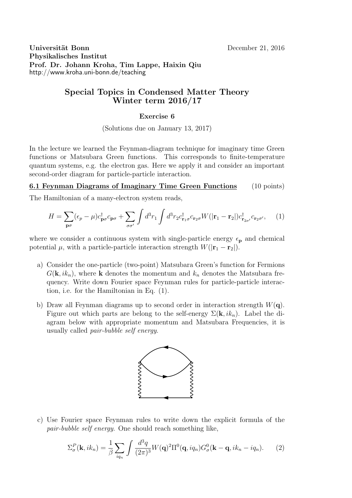Universität Bonn December 21, 2016 Physikalisches Institut Prof. Dr. Johann Kroha, Tim Lappe, Haixin Qiu http://www.kroha.uni-bonn.de/teaching

## Special Topics in Condensed Matter Theory Winter term 2016/17

## Exercise 6

(Solutions due on January 13, 2017)

In the lecture we learned the Feynman-diagram technique for imaginary time Green functions or Matsubara Green functions. This corresponds to finite-temperature quantum systems, e.g. the electron gas. Here we apply it and consider an important second-order diagram for particle-particle interaction.

## 6.1 Feynman Diagrams of Imaginary Time Green Functions (10 points)

The Hamiltonian of a many-electron system reads,

$$
H = \sum_{\mathbf{p}\sigma} (\epsilon_p - \mu) c_{\mathbf{p}\sigma}^\dagger c_{\mathbf{p}\sigma} + \sum_{\sigma\sigma'} \int d^3 r_1 \int d^3 r_2 c_{\mathbf{r}_1\sigma}^\dagger c_{\mathbf{r}_2\sigma} W(|\mathbf{r}_1 - \mathbf{r}_2|) c_{\mathbf{r}_{2\sigma'}}^\dagger c_{\mathbf{r}_2\sigma'}, \tag{1}
$$

where we consider a continuous system with single-particle energy  $\epsilon_{\bf p}$  and chemical potential  $\mu$ , with a particle-particle interaction strength  $W(|\mathbf{r}_1 - \mathbf{r}_2|)$ .

- a) Consider the one-particle (two-point) Matsubara Green's function for Fermions  $G(\mathbf{k}, i k_n)$ , where **k** denotes the momentum and  $k_n$  denotes the Matsubara frequency. Write down Fourier space Feynman rules for particle-particle interaction, i.e. for the Hamiltonian in Eq. (1).
- b) Draw all Feynman diagrams up to second order in interaction strength  $W(\mathbf{q})$ . Figure out which parts are belong to the self-energy  $\Sigma(\mathbf{k}, ik_n)$ . Label the diagram below with appropriate momentum and Matsubara Frequencies, it is usually called pair-bubble self energy.



c) Use Fourier space Feynman rules to write down the explicit formula of the pair-bubble self energy. One should reach something like,

$$
\Sigma_{\sigma}^{P}(\mathbf{k},ik_{n}) = \frac{1}{\beta} \sum_{iq_{n}} \int \frac{d^{3}q}{(2\pi)^{3}} W(\mathbf{q})^{2} \Pi^{0}(\mathbf{q},iq_{n}) G_{\sigma}^{0}(\mathbf{k}-\mathbf{q},ik_{n}-iq_{n}). \tag{2}
$$